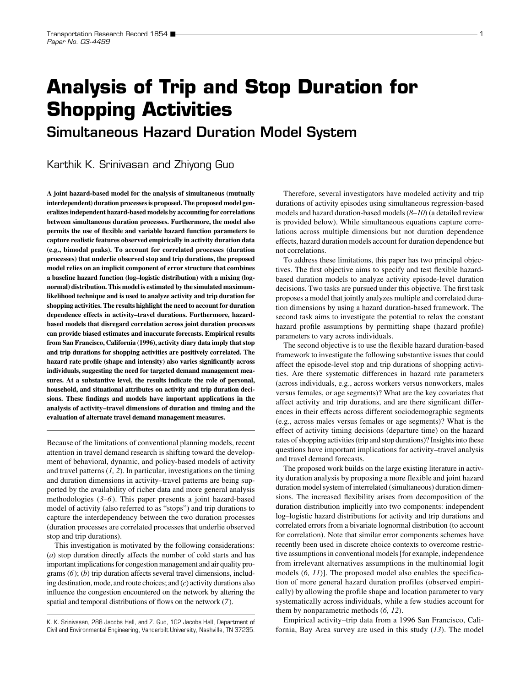# **Analysis of Trip and Stop Duration for Shopping Activities**

Simultaneous Hazard Duration Model System

Karthik K. Srinivasan and Zhiyong Guo

**A joint hazard-based model for the analysis of simultaneous (mutually interdependent) duration processes is proposed. The proposed model generalizes independent hazard-based models by accounting for correlations between simultaneous duration processes. Furthermore, the model also permits the use of flexible and variable hazard function parameters to capture realistic features observed empirically in activity duration data (e.g., bimodal peaks). To account for correlated processes (duration processes) that underlie observed stop and trip durations, the proposed model relies on an implicit component of error structure that combines a baseline hazard function (log–logistic distribution) with a mixing (lognormal) distribution. This model is estimated by the simulated maximumlikelihood technique and is used to analyze activity and trip duration for shopping activities. The results highlight the need to account for duration dependence effects in activity–travel durations. Furthermore, hazardbased models that disregard correlation across joint duration processes can provide biased estimates and inaccurate forecasts. Empirical results from San Francisco, California (1996), activity diary data imply that stop and trip durations for shopping activities are positively correlated. The hazard rate profile (shape and intensity) also varies significantly across individuals, suggesting the need for targeted demand management measures. At a substantive level, the results indicate the role of personal, household, and situational attributes on activity and trip duration decisions. These findings and models have important applications in the analysis of activity–travel dimensions of duration and timing and the evaluation of alternate travel demand management measures.**

Because of the limitations of conventional planning models, recent attention in travel demand research is shifting toward the development of behavioral, dynamic, and policy-based models of activity and travel patterns (*1, 2*). In particular, investigations on the timing and duration dimensions in activity–travel patterns are being supported by the availability of richer data and more general analysis methodologies (*3–6*). This paper presents a joint hazard-based model of activity (also referred to as "stops") and trip durations to capture the interdependency between the two duration processes (duration processes are correlated processes that underlie observed stop and trip durations).

This investigation is motivated by the following considerations: (*a*) stop duration directly affects the number of cold starts and has important implications for congestion management and air quality programs (*6*); (*b*) trip duration affects several travel dimensions, including destination, mode, and route choices; and (*c*) activity durations also influence the congestion encountered on the network by altering the spatial and temporal distributions of flows on the network (*7*).

Therefore, several investigators have modeled activity and trip durations of activity episodes using simultaneous regression-based models and hazard duration-based models (*8–10*) (a detailed review is provided below). While simultaneous equations capture correlations across multiple dimensions but not duration dependence effects, hazard duration models account for duration dependence but not correlations.

To address these limitations, this paper has two principal objectives. The first objective aims to specify and test flexible hazardbased duration models to analyze activity episode-level duration decisions. Two tasks are pursued under this objective. The first task proposes a model that jointly analyzes multiple and correlated duration dimensions by using a hazard duration-based framework. The second task aims to investigate the potential to relax the constant hazard profile assumptions by permitting shape (hazard profile) parameters to vary across individuals.

The second objective is to use the flexible hazard duration-based framework to investigate the following substantive issues that could affect the episode-level stop and trip durations of shopping activities. Are there systematic differences in hazard rate parameters (across individuals, e.g., across workers versus nonworkers, males versus females, or age segments)? What are the key covariates that affect activity and trip durations, and are there significant differences in their effects across different sociodemographic segments (e.g., across males versus females or age segments)? What is the effect of activity timing decisions (departure time) on the hazard rates of shopping activities (trip and stop durations)? Insights into these questions have important implications for activity–travel analysis and travel demand forecasts.

The proposed work builds on the large existing literature in activity duration analysis by proposing a more flexible and joint hazard duration model system of interrelated (simultaneous) duration dimensions. The increased flexibility arises from decomposition of the duration distribution implicitly into two components: independent log–logistic hazard distributions for activity and trip durations and correlated errors from a bivariate lognormal distribution (to account for correlation). Note that similar error components schemes have recently been used in discrete choice contexts to overcome restrictive assumptions in conventional models [for example, independence from irrelevant alternatives assumptions in the multinomial logit models (*6, 11*)]. The proposed model also enables the specification of more general hazard duration profiles (observed empirically) by allowing the profile shape and location parameter to vary systematically across individuals, while a few studies account for them by nonparametric methods (*6, 12*).

Empirical activity–trip data from a 1996 San Francisco, California, Bay Area survey are used in this study (*13*). The model

K. K. Srinivasan, 288 Jacobs Hall, and Z. Guo, 102 Jacobs Hall, Department of Civil and Environmental Engineering, Vanderbilt University, Nashville, TN 37235.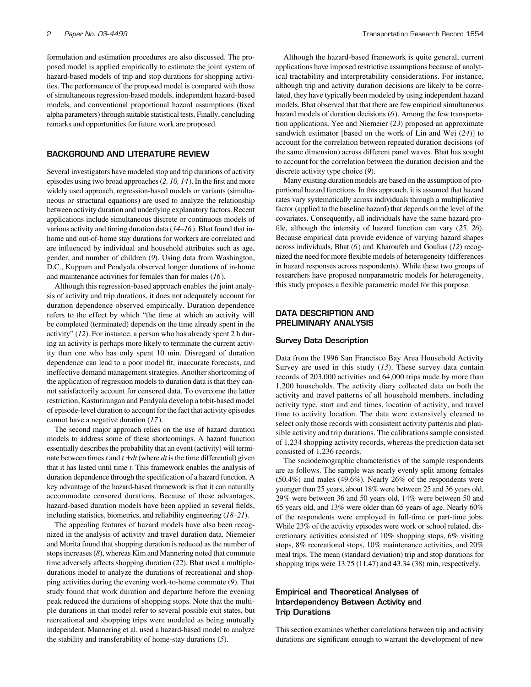formulation and estimation procedures are also discussed. The proposed model is applied empirically to estimate the joint system of hazard-based models of trip and stop durations for shopping activities. The performance of the proposed model is compared with those of simultaneous regression-based models, independent hazard-based models, and conventional proportional hazard assumptions (fixed alpha parameters) through suitable statistical tests. Finally, concluding remarks and opportunities for future work are proposed.

#### BACKGROUND AND LITERATURE REVIEW

Several investigators have modeled stop and trip durations of activity episodes using two broad approaches (*2, 10, 14*). In the first and more widely used approach, regression-based models or variants (simultaneous or structural equations) are used to analyze the relationship between activity duration and underlying explanatory factors. Recent applications include simultaneous discrete or continuous models of various activity and timing duration data (*14–16*). Bhat found that inhome and out-of-home stay durations for workers are correlated and are influenced by individual and household attributes such as age, gender, and number of children (*9*). Using data from Washington, D.C., Kuppam and Pendyala observed longer durations of in-home and maintenance activities for females than for males (*16*).

Although this regression-based approach enables the joint analysis of activity and trip durations, it does not adequately account for duration dependence observed empirically. Duration dependence refers to the effect by which "the time at which an activity will be completed (terminated) depends on the time already spent in the activity" (*12*). For instance, a person who has already spent 2 h during an activity is perhaps more likely to terminate the current activity than one who has only spent 10 min. Disregard of duration dependence can lead to a poor model fit, inaccurate forecasts, and ineffective demand management strategies. Another shortcoming of the application of regression models to duration data is that they cannot satisfactorily account for censored data. To overcome the latter restriction, Kasturirangan and Pendyala develop a tobit-based model of episode-level duration to account for the fact that activity episodes cannot have a negative duration (*17*).

The second major approach relies on the use of hazard duration models to address some of these shortcomings. A hazard function essentially describes the probability that an event (activity) will terminate between times  $t$  and  $t + dt$  (where  $dt$  is the time differential) given that it has lasted until time *t.* This framework enables the analysis of duration dependence through the specification of a hazard function. A key advantage of the hazard-based framework is that it can naturally accommodate censored durations. Because of these advantages, hazard-based duration models have been applied in several fields, including statistics, biometrics, and reliability engineering (*18–21*).

The appealing features of hazard models have also been recognized in the analysis of activity and travel duration data. Niemeier and Morita found that shopping duration is reduced as the number of stops increases (*8*), whereas Kim and Mannering noted that commute time adversely affects shopping duration (*22*). Bhat used a multipledurations model to analyze the durations of recreational and shopping activities during the evening work-to-home commute (*9*). That study found that work duration and departure before the evening peak reduced the durations of shopping stops. Note that the multiple durations in that model refer to several possible exit states, but recreational and shopping trips were modeled as being mutually independent. Mannering et al. used a hazard-based model to analyze the stability and transferability of home-stay durations (*5*).

Although the hazard-based framework is quite general, current applications have imposed restrictive assumptions because of analytical tractability and interpretability considerations. For instance, although trip and activity duration decisions are likely to be correlated, they have typically been modeled by using independent hazard models. Bhat observed that that there are few empirical simultaneous hazard models of duration decisions (*6*). Among the few transportation applications, Yee and Niemeier (*23*) proposed an approximate sandwich estimator [based on the work of Lin and Wei (*24*)] to account for the correlation between repeated duration decisions (of the same dimension) across different panel waves. Bhat has sought to account for the correlation between the duration decision and the discrete activity type choice (*9*).

Many existing duration models are based on the assumption of proportional hazard functions. In this approach, it is assumed that hazard rates vary systematically across individuals through a multiplicative factor (applied to the baseline hazard) that depends on the level of the covariates. Consequently, all individuals have the same hazard profile, although the intensity of hazard function can vary (*25, 26*). Because empirical data provide evidence of varying hazard shapes across individuals, Bhat (*6*) and Kharoufeh and Goulias (*12*) recognized the need for more flexible models of heterogeneity (differences in hazard responses across respondents). While these two groups of researchers have proposed nonparametric models for heterogeneity, this study proposes a flexible parametric model for this purpose.

## DATA DESCRIPTION AND PRELIMINARY ANALYSIS

#### Survey Data Description

Data from the 1996 San Francisco Bay Area Household Activity Survey are used in this study (*13*). These survey data contain records of 203,000 activities and 64,000 trips made by more than 1,200 households. The activity diary collected data on both the activity and travel patterns of all household members, including activity type, start and end times, location of activity, and travel time to activity location. The data were extensively cleaned to select only those records with consistent activity patterns and plausible activity and trip durations. The calibrations sample consisted of 1,234 shopping activity records, whereas the prediction data set consisted of 1,236 records.

The sociodemographic characteristics of the sample respondents are as follows. The sample was nearly evenly split among females (50.4%) and males (49.6%). Nearly 26% of the respondents were younger than 25 years, about 18% were between 25 and 36 years old, 29% were between 36 and 50 years old, 14% were between 50 and 65 years old, and 13% were older than 65 years of age. Nearly 60% of the respondents were employed in full-time or part-time jobs. While 23% of the activity episodes were work or school related, discretionary activities consisted of 10% shopping stops, 6% visiting stops, 8% recreational stops, 10% maintenance activities, and 20% meal trips. The mean (standard deviation) trip and stop durations for shopping trips were 13.75 (11.47) and 43.34 (38) min, respectively.

## Empirical and Theoretical Analyses of Interdependency Between Activity and Trip Durations

This section examines whether correlations between trip and activity durations are significant enough to warrant the development of new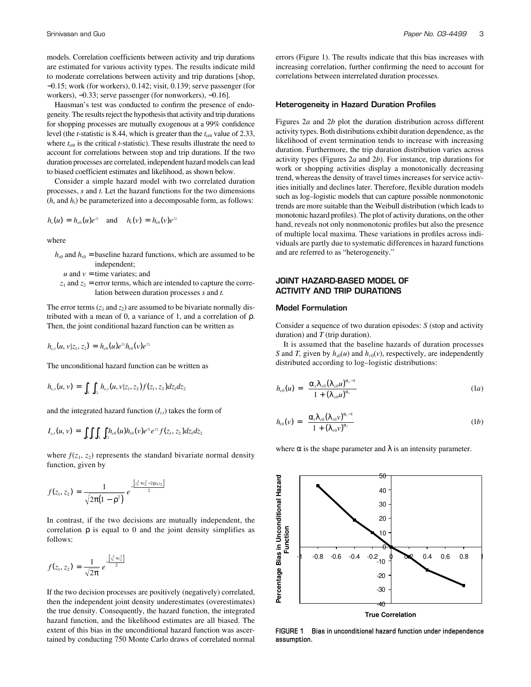models. Correlation coefficients between activity and trip durations are estimated for various activity types. The results indicate mild to moderate correlations between activity and trip durations [shop, −0.15; work (for workers), 0.142; visit, 0.139; serve passenger (for workers), −0.33; serve passenger (for nonworkers), −0.16].

Hausman's test was conducted to confirm the presence of endogeneity. The results reject the hypothesis that activity and trip durations for shopping processes are mutually exogenous at a 99% confidence level (the *t*-statistic is 8.44, which is greater than the  $t_{\text{crit}}$  value of 2.33, where  $t_{\text{crit}}$  is the critical  $t$ -statistic). These results illustrate the need to account for correlations between stop and trip durations. If the two duration processes are correlated, independent hazard models can lead to biased coefficient estimates and likelihood, as shown below.

Consider a simple hazard model with two correlated duration processes, *s* and *t.* Let the hazard functions for the two dimensions  $(h_s$  and  $h_t$ ) be parameterized into a decomposable form, as follows:

$$
h_s(u) = h_{s0}(u)e^{z_1}
$$
 and  $h_t(v) = h_{t0}(v)e^{z_2}$ 

where

$$
h_{s0}
$$
 and  $h_{t0}$  = baseline hazard functions, which are assumed to be independent;

 $u$  and  $v =$  time variates; and

 $z_1$  and  $z_2$  = error terms, which are intended to capture the correlation between duration processes *s* and *t.*

The error terms  $(z_1 \text{ and } z_2)$  are assumed to be bivariate normally distributed with a mean of 0, a variance of 1, and a correlation of ρ. Then, the joint conditional hazard function can be written as

$$
h_{s,t}(u,v|z_1,z_2) = h_{s0}(u)e^{z_1}h_{t0}(v)e^{z_2}
$$

The unconditional hazard function can be written as

$$
h_{s,t}(u,v) = \int_{z_1} \int_{z_2} h_{s,t}(u,v|z_1,z_2) f(z_1,z_2) dz_1 dz_2
$$

and the integrated hazard function  $(I_{s,t})$  takes the form of

$$
I_{s,t}(u,v) = \int_u \int_v \int_{z_1} \int_{z_2} h_{s0}(u) h_{t0}(v) e^{z_1} e^{z_2} f(z_1, z_2) dz_1 dz_2
$$

where  $f(z_1, z_2)$  represents the standard bivariate normal density function, given by

$$
f(z_1, z_2) = \frac{1}{\sqrt{2\pi(1-\rho^2)}} e^{-\frac{\left[z_1^2 + z_2^2 - 2\rho z_1 z_2\right]}{2}}
$$

In contrast, if the two decisions are mutually independent, the correlation  $\rho$  is equal to 0 and the joint density simplifies as follows:

$$
f(z_1, z_2) = \frac{1}{\sqrt{2\pi}} e^{-\frac{[z_1^2 + z_2^2]}{2}}
$$

If the two decision processes are positively (negatively) correlated, then the independent joint density underestimates (overestimates) the true density. Consequently, the hazard function, the integrated hazard function, and the likelihood estimates are all biased. The extent of this bias in the unconditional hazard function was ascertained by conducting 750 Monte Carlo draws of correlated normal errors (Figure 1). The results indicate that this bias increases with increasing correlation, further confirming the need to account for correlations between interrelated duration processes.

#### Heterogeneity in Hazard Duration Profiles

Figures 2*a* and 2*b* plot the duration distribution across different activity types. Both distributions exhibit duration dependence, as the likelihood of event termination tends to increase with increasing duration. Furthermore, the trip duration distribution varies across activity types (Figures 2*a* and 2*b*). For instance, trip durations for work or shopping activities display a monotonically decreasing trend, whereas the density of travel times increases for service activities initially and declines later. Therefore, flexible duration models such as log–logistic models that can capture possible nonmonotonic trends are more suitable than the Weibull distribution (which leads to monotonic hazard profiles). The plot of activity durations, on the other hand, reveals not only nonmonotonic profiles but also the presence of multiple local maxima. These variations in profiles across individuals are partly due to systematic differences in hazard functions and are referred to as "heterogeneity."

## JOINT HAZARD-BASED MODEL OF ACTIVITY AND TRIP DURATIONS

## Model Formulation

Consider a sequence of two duration episodes: *S* (stop and activity duration) and *T* (trip duration).

It is assumed that the baseline hazards of duration processes *S* and *T*, given by  $h_{s0}(u)$  and  $h_{t0}(v)$ , respectively, are independently distributed according to log–logistic distributions:

$$
h_{s0}(u) = \left[\frac{\alpha_s \lambda_{s0} (\lambda_{s0} u)^{\alpha_s - 1}}{1 + (\lambda_{s0} u)^{\alpha_s}}\right]
$$
 (1*a*)

$$
h_{t_0}(\nu) = \left[\frac{\alpha_t \lambda_{t_0} (\lambda_{t_0} \nu)^{\alpha_t - 1}}{1 + (\lambda_{t_0} \nu)^{\alpha_t}}\right]
$$
 (1b)

where  $\alpha$  is the shape parameter and  $\lambda$  is an intensity parameter.



**FIGURE 1 Bias in unconditional hazard function under independence assumption.**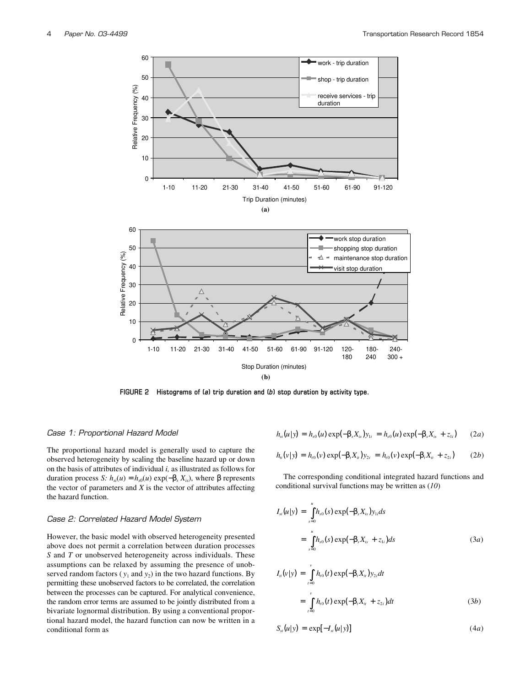

**FIGURE 2 Histograms of (***a***) trip duration and (***b***) stop duration by activity type.**

#### *Case 1: Proportional Hazard Model*

The proportional hazard model is generally used to capture the observed heterogeneity by scaling the baseline hazard up or down on the basis of attributes of individual *i,* as illustrated as follows for duration process *S: hsi*(*u*) = *hs*<sup>0</sup>(*u*) exp(−β*<sup>s</sup> Xis*), where β represents the vector of parameters and  $X$  is the vector of attributes affecting the hazard function.

#### *Case 2: Correlated Hazard Model System*

However, the basic model with observed heterogeneity presented above does not permit a correlation between duration processes *S* and *T* or unobserved heterogeneity across individuals. These assumptions can be relaxed by assuming the presence of unobserved random factors  $(y_1$  and  $y_2)$  in the two hazard functions. By permitting these unobserved factors to be correlated, the correlation between the processes can be captured. For analytical convenience, the random error terms are assumed to be jointly distributed from a bivariate lognormal distribution. By using a conventional proportional hazard model, the hazard function can now be written in a conditional form as

$$
h_{si}(u|y) = h_{s0}(u) \exp(-\beta_s X_{is}) y_{1i} = h_{s0}(u) \exp(-\beta_s X_{is} + z_{1i}) \qquad (2a)
$$

$$
h_{ii}(v|y) = h_{i0}(v) \exp(-\beta_i X_{ii}) y_{2i} = h_{i0}(v) \exp(-\beta_i X_{ii} + z_{2i})
$$
 (2b)

The corresponding conditional integrated hazard functions and conditional survival functions may be written as (*10*)

$$
I_{si}(u|y) = \int_{s=0}^{u} h_{s0}(s) \exp(-\beta_s X_{is}) y_{1i} ds
$$
  
= 
$$
\int_{s=0}^{u} h_{s0}(s) \exp(-\beta_s X_{is} + z_{1i}) ds
$$
 (3*a*)

$$
I_n(v|y) = \int_{t=0}^{v} h_{t0}(t) \exp(-\beta_t X_u) y_{2t} dt
$$
  
= 
$$
\int_{t=0}^{v} h_{t0}(t) \exp(-\beta_t X_u + z_{2t}) dt
$$
 (3b)

$$
S_{si}(u|y) = \exp[-I_{si}(u|y)] \qquad (4a)
$$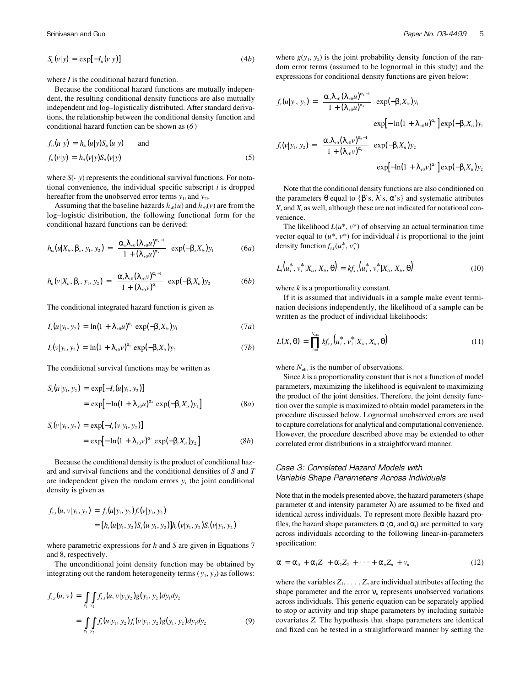$$
S_{ii}(v|y) = \exp[-I_{ii}(v|y)] \tag{4b}
$$

where *I* is the conditional hazard function.

Because the conditional hazard functions are mutually independent, the resulting conditional density functions are also mutually independent and log–logistically distributed. After standard derivations, the relationship between the conditional density function and conditional hazard function can be shown as (*6* )

$$
f_{si}(u|y) = h_{si}(u|y)S_{si}(u|y) \quad \text{and} \quad f_{ii}(v|y) = h_{ii}(v|y)S_{ii}(v|y)
$$
\n
$$
(5)
$$

where  $S(\cdot|y)$  represents the conditional survival functions. For notational convenience, the individual specific subscript *i* is dropped hereafter from the unobserved error terms  $y_{1i}$  and  $y_{2i}$ .

Assuming that the baseline hazards  $h_{s0}(u)$  and  $h_{t0}(v)$  are from the log–logistic distribution, the following functional form for the conditional hazard functions can be derived:

$$
h_{is}(u|X_{is},\beta_s,y_1,y_2)=\left[\frac{\alpha_s\lambda_{s0}(\lambda_{s0}u)^{\alpha_s-1}}{1+(\lambda_{s0}u)^{\alpha_s}}\right]\exp(-\beta_sX_{is})y_1\qquad \qquad (6a)
$$

$$
h_{ii}(v|X_{ii}, \beta_i, y_1, y_2) = \left[\frac{\alpha_i \lambda_{i0} (\lambda_{i0} v)^{\alpha_i - 1}}{1 + (\lambda_{i0} v)^{\alpha_i}}\right] \exp(-\beta_i X_{ii}) y_2 \tag{6b}
$$

The conditional integrated hazard function is given as

$$
I_{s}(u|y_{1}, y_{2}) = \ln(1 + \lambda_{s0} u)^{\alpha_{s}} \exp(-\beta_{s} X_{is}) y_{1}
$$
 (7*a*)

$$
I_{i}(v|y_{1}, y_{2}) = \ln(1 + \lambda_{i0}v)^{\alpha_{i}} \exp(-\beta_{i}X_{i}y_{2}) \qquad (7b)
$$

The conditional survival functions may be written as

$$
S_{s}(u|y_{1}, y_{2}) = \exp[-I_{s}(u|y_{1}, y_{2})]
$$
  
=  $\exp[-\ln(1 + \lambda_{s0}u)^{\alpha_{s}} \exp(-\beta_{s}X_{is})y_{1}]$  (8*a*)

$$
S_{t}(v|y_{1}, y_{2}) = \exp[-I_{t}(v|y_{1}, y_{2})]
$$
  
=  $\exp[-\ln(1 + \lambda_{t0}v)^{\alpha_{t}} \exp(-\beta_{t}X_{it})y_{2}]$  (8b)

Because the conditional density is the product of conditional hazard and survival functions and the conditional densities of *S* and *T* are independent given the random errors *y,* the joint conditional density is given as

$$
f_{s,t}(u, v|y_1, y_2) = f_s(u|y_1, y_2) f_t(v|y_1, y_2)
$$
  
= 
$$
[h_s(u|y_1, y_2)S_s(u|y_1, y_2)]h_t(v|y_1, y_2)S_t(v|y_1, y_2)
$$

where parametric expressions for *h* and *S* are given in Equations 7 and 8, respectively.

The unconditional joint density function may be obtained by integrating out the random heterogeneity terms  $(y_1, y_2)$  as follows:

$$
f_{s,t}(u, v) = \int_{y_1} \int_{y_2} f_{s,t}(u, v|y_1y_2)g(y_1, y_2)dy_1dy_2
$$
  
= 
$$
\int_{y_1} \int_{y_2} f_s(u|y_1, y_2)f_s(v|y_1, y_2)g(y_1, y_2)dy_1dy_2
$$
 (9)

where  $g(y_1, y_2)$  is the joint probability density function of the random error terms (assumed to be lognormal in this study) and the expressions for conditional density functions are given below:

$$
f_s(u|y_1, y_2) = \left[\frac{\alpha_s \lambda_{s0} (\lambda_{s0} u)^{\alpha_s - 1}}{1 + (\lambda_{s0} u)^{\alpha_s}}\right] \exp(-\beta_s X_{is}) y_1
$$
  
\n
$$
\exp[-\ln(1 + \lambda_{s0} u)^{\alpha_s}] \exp(-\beta_s X_{is}) y_1
$$
  
\n
$$
f_t(v|y_1, y_2) = \left[\frac{\alpha_t \lambda_{t0} (\lambda_{t0} v)^{\alpha_{t-1}}}{1 + (\lambda_{t0} v)^{\alpha_s}}\right] \exp(-\beta_t X_{is}) y_2
$$
  
\n
$$
\exp[-\ln(1 + \lambda_{t0} v)^{\alpha_t}] \exp(-\beta_t X_{is}) y_2
$$

Note that the conditional density functions are also conditioned on the parameters  $\theta$  equal to { $\beta$ 's,  $\lambda$ 's,  $\alpha$ 's} and systematic attributes  $X_s$  and  $X_t$  as well, although these are not indicated for notational convenience.

The likelihood  $L(u^*, v^*)$  of observing an actual termination time vector equal to  $(u^*, v^*)$  for individual *i* is proportional to the joint density function  $f_{s,t}(u_i^*, v_i^*)$ 

$$
L_i(u_i^*, v_i^*|X_{is}, X_{ii}, \theta) = k f_{s,i}(u_i^*, v_i^*|X_{is}, X_{ii}, \theta)
$$
\n(10)

where *k* is a proportionality constant.

If it is assumed that individuals in a sample make event termination decisions independently, the likelihood of a sample can be written as the product of individual likelihoods:

$$
L(X, \theta) = \prod_{i=1}^{N_{\text{obs}}} k f_{s,t}(u_i^*, v_i^* | X_{is}, X_{it}, \theta)
$$
\n(11)

where  $N_{obs}$  is the number of observations.

Since *k* is a proportionality constant that is not a function of model parameters, maximizing the likelihood is equivalent to maximizing the product of the joint densities. Therefore, the joint density function over the sample is maximized to obtain model parameters in the procedure discussed below. Lognormal unobserved errors are used to capture correlations for analytical and computational convenience. However, the procedure described above may be extended to other correlated error distributions in a straightforward manner.

## *Case 3: Correlated Hazard Models with Variable Shape Parameters Across Individuals*

Note that in the models presented above, the hazard parameters (shape parameter α and intensity parameter  $λ$ ) are assumed to be fixed and identical across individuals. To represent more flexible hazard profiles, the hazard shape parameters  $\alpha$  ( $\alpha_s$  and  $\alpha_t$ ) are permitted to vary across individuals according to the following linear-in-parameters specification:

$$
\alpha = \alpha_0 + \alpha_1 Z_1 + \alpha_2 Z_2 + \cdots + \alpha_n Z_n + \nu_n \tag{12}
$$

where the variables  $Z_1, \ldots, Z_n$  are individual attributes affecting the shape parameter and the error ν*<sup>n</sup>* represents unobserved variations across individuals. This generic equation can be separately applied to stop or activity and trip shape parameters by including suitable covariates *Z.* The hypothesis that shape parameters are identical and fixed can be tested in a straightforward manner by setting the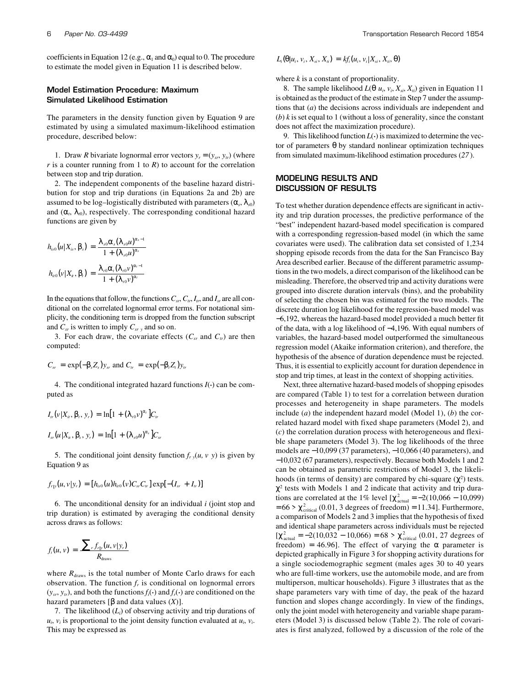coefficients in Equation 12 (e.g.,  $\alpha_1$  and  $\alpha_0$ ) equal to 0. The procedure to estimate the model given in Equation 11 is described below.

## Model Estimation Procedure: Maximum Simulated Likelihood Estimation

The parameters in the density function given by Equation 9 are estimated by using a simulated maximum-likelihood estimation procedure, described below:

1. Draw *R* bivariate lognormal error vectors  $y_r = (y_{sr}, y_{tr})$  (where  $r$  is a counter running from 1 to  $R$ ) to account for the correlation between stop and trip duration.

2. The independent components of the baseline hazard distribution for stop and trip durations (in Equations 2a and 2b) are assumed to be log-logistically distributed with parameters  $(\alpha_s, \lambda_{s0})$ and  $(\alpha_t, \lambda_0)$ , respectively. The corresponding conditional hazard functions are given by

$$
h_{i s0}(u|X_{i s}, \beta_s) = \frac{\lambda_{s0} \alpha_s (\lambda_{s0} u)^{\alpha_s - 1}}{1 + (\lambda_{s0} u)^{\alpha_s}}
$$

$$
h_{i t0}(v|X_{i s}, \beta_t) = \frac{\lambda_{t0} \alpha_t (\lambda_{t0} v)^{\alpha_t - 1}}{1 + (\lambda_{t0} v)^{\alpha_t}}
$$

In the equations that follow, the functions  $C_{sr}$ ,  $C_{tr}$ ,  $I_{tr}$ , and  $I_{sr}$  are all conditional on the correlated lognormal error terms. For notational simplicity, the conditioning term is dropped from the function subscript and  $C_{sr}$  is written to imply  $C_{sr}|_v$  and so on.

3. For each draw, the covariate effects  $(C_{sr}$  and  $C_{tr}$ ) are then computed:

$$
C_{sr} = \exp(-\beta_s Z_s) y_{sr} \text{ and } C_{tr} = \exp(-\beta_t Z_t) y_{tr}
$$

4. The conditional integrated hazard functions  $I(\cdot)$  can be computed as

$$
I_{tr}(v|X_{it}, \beta_t, y_r) = \ln[1 + (\lambda_{t0}v)^{\alpha_t}]C_{tr}
$$
  

$$
I_{sr}(u|X_{is}, \beta_s, y_r) = \ln[1 + (\lambda_{s0}u)^{\alpha_s}]C_{sr}
$$

5. The conditional joint density function  $f_{r|y}(u, v|y)$  is given by Equation 9 as

$$
f_{r|y}(u, v|y_r) = [h_{is0}(u)h_{it0}(v)C_{sr}C_{tr}] \exp[-(I_{sr} + I_{tr})]
$$

6. The unconditional density for an individual *i* (joint stop and trip duration) is estimated by averaging the conditional density across draws as follows:

$$
f_i(u,v) = \frac{\sum_{r} f_{r|y}(u,v|y_r)}{R_{\text{draws}}}
$$

where  $R_{\text{draws}}$  is the total number of Monte Carlo draws for each observation. The function  $f_r$  is conditional on lognormal errors  $(y_{sr}, y_{tr})$ , and both the functions  $f_i(\cdot)$  and  $f_r(\cdot)$  are conditioned on the hazard parameters [β and data values (*X*)].

7. The likelihood (*Li*) of observing activity and trip durations of  $u_i$ ,  $v_i$  is proportional to the joint density function evaluated at  $u_i$ ,  $v_i$ . This may be expressed as

$$
L_i(\theta|u_i, v_i, X_{si}, X_{ii}) = k f_i(u_i, v_i|X_{si}, X_{ii}, \theta)
$$

where *k* is a constant of proportionality.

8. The sample likelihood  $L(\theta | u_i, v_i, X_{si}, X_{ti})$  given in Equation 11 is obtained as the product of the estimate in Step 7 under the assumptions that (*a*) the decisions across individuals are independent and  $(b)$  *k* is set equal to 1 (without a loss of generality, since the constant does not affect the maximization procedure).

9. This likelihood function  $L(\cdot)$  is maximized to determine the vector of parameters θ by standard nonlinear optimization techniques from simulated maximum-likelihood estimation procedures (*27* ).

## MODELING RESULTS AND DISCUSSION OF RESULTS

To test whether duration dependence effects are significant in activity and trip duration processes, the predictive performance of the "best" independent hazard-based model specification is compared with a corresponding regression-based model (in which the same covariates were used). The calibration data set consisted of 1,234 shopping episode records from the data for the San Francisco Bay Area described earlier. Because of the different parametric assumptions in the two models, a direct comparison of the likelihood can be misleading. Therefore, the observed trip and activity durations were grouped into discrete duration intervals (bins), and the probability of selecting the chosen bin was estimated for the two models. The discrete duration log likelihood for the regression-based model was −6,192, whereas the hazard-based model provided a much better fit of the data, with a log likelihood of −4,196. With equal numbers of variables, the hazard-based model outperformed the simultaneous regression model (Akaike information criterion), and therefore, the hypothesis of the absence of duration dependence must be rejected. Thus, it is essential to explicitly account for duration dependence in stop and trip times, at least in the context of shopping activities.

Next, three alternative hazard-based models of shopping episodes are compared (Table 1) to test for a correlation between duration processes and heterogeneity in shape parameters. The models include (*a*) the independent hazard model (Model 1), (*b*) the correlated hazard model with fixed shape parameters (Model 2), and (*c*) the correlation duration process with heterogeneous and flexible shape parameters (Model 3). The log likelihoods of the three models are −10,099 (37 parameters), −10,066 (40 parameters), and −10,032 (67 parameters), respectively. Because both Models 1 and 2 can be obtained as parametric restrictions of Model 3, the likelihoods (in terms of density) are compared by chi-square  $(\chi^2)$  tests.  $\chi^2$  tests with Models 1 and 2 indicate that activity and trip durations are correlated at the 1% level  $[\chi^2_{\text{actual}} = -2(10,066 - 10,099)$  $= 66$  >  $\chi^2_{\text{critical}}$  (0.01, 3 degrees of freedom) = 11.34]. Furthermore, a comparison of Models 2 and 3 implies that the hypothesis of fixed and identical shape parameters across individuals must be rejected  $[\chi^2_{\text{actual}} = -2(10,032 - 10,066) = 68 > \chi^2_{\text{critical}} (0.01, 27 \text{ degrees of})$ freedom) = 46.96]. The effect of varying the  $\alpha$  parameter is depicted graphically in Figure 3 for shopping activity durations for a single sociodemographic segment (males ages 30 to 40 years who are full-time workers, use the automobile mode, and are from multiperson, multicar households). Figure 3 illustrates that as the shape parameters vary with time of day, the peak of the hazard function and slopes change accordingly. In view of the findings, only the joint model with heterogeneity and variable shape parameters (Model 3) is discussed below (Table 2). The role of covariates is first analyzed, followed by a discussion of the role of the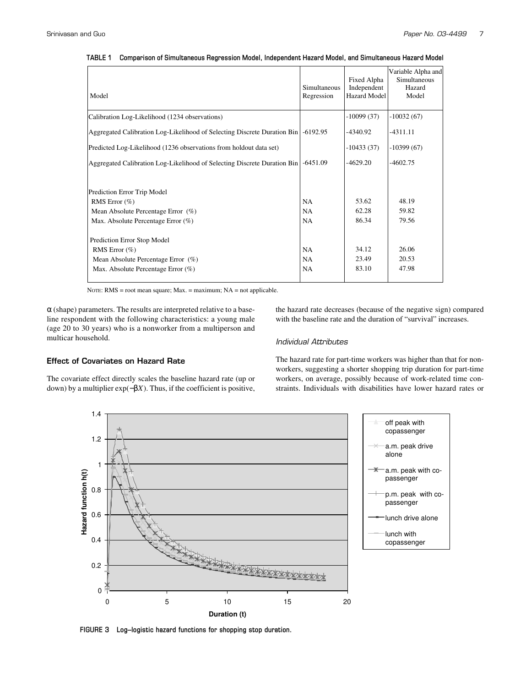| Model                                                                    | Simultaneous<br>Regression | Fixed Alpha<br>Independent<br><b>Hazard Model</b> | Variable Alpha and<br>Simultaneous<br>Hazard<br>Model |
|--------------------------------------------------------------------------|----------------------------|---------------------------------------------------|-------------------------------------------------------|
| Calibration Log-Likelihood (1234 observations)                           |                            | $-10099(37)$                                      | $-10032(67)$                                          |
| Aggregated Calibration Log-Likelihood of Selecting Discrete Duration Bin | $-6192.95$                 | -4340.92                                          | -4311.11                                              |
| Predicted Log-Likelihood (1236 observations from holdout data set)       |                            | $-10433(37)$                                      | $-10399(67)$                                          |
| Aggregated Calibration Log-Likelihood of Selecting Discrete Duration Bin | $-6451.09$                 | $-4629.20$                                        | -4602.75                                              |
| Prediction Error Trip Model                                              |                            |                                                   |                                                       |
| RMS Error $(\%)$                                                         | NA                         | 53.62                                             | 48.19                                                 |
| Mean Absolute Percentage Error (%)                                       | <b>NA</b>                  | 62.28                                             | 59.82                                                 |
| Max. Absolute Percentage Error $(\%)$                                    | NA                         | 86.34                                             | 79.56                                                 |
| Prediction Error Stop Model                                              |                            |                                                   |                                                       |
| RMS Error $(\% )$                                                        | NA                         | 34.12                                             | 26.06                                                 |
| Mean Absolute Percentage Error $(\%)$                                    | NA                         | 23.49                                             | 20.53                                                 |
| Max. Absolute Percentage Error (%)                                       | <b>NA</b>                  | 83.10                                             | 47.98                                                 |

**TABLE 1 Comparison of Simultaneous Regression Model, Independent Hazard Model, and Simultaneous Hazard Model**

NOTE: RMS = root mean square; Max. = maximum; NA = not applicable.

 $\alpha$  (shape) parameters. The results are interpreted relative to a baseline respondent with the following characteristics: a young male (age 20 to 30 years) who is a nonworker from a multiperson and multicar household.

the hazard rate decreases (because of the negative sign) compared with the baseline rate and the duration of "survival" increases.

## *Individual Attributes*

## Effect of Covariates on Hazard Rate

The covariate effect directly scales the baseline hazard rate (up or down) by a multiplier exp(−β*X*). Thus, if the coefficient is positive,

The hazard rate for part-time workers was higher than that for nonworkers, suggesting a shorter shopping trip duration for part-time workers, on average, possibly because of work-related time constraints. Individuals with disabilities have lower hazard rates or



**FIGURE 3 Log–logistic hazard functions for shopping stop duration.**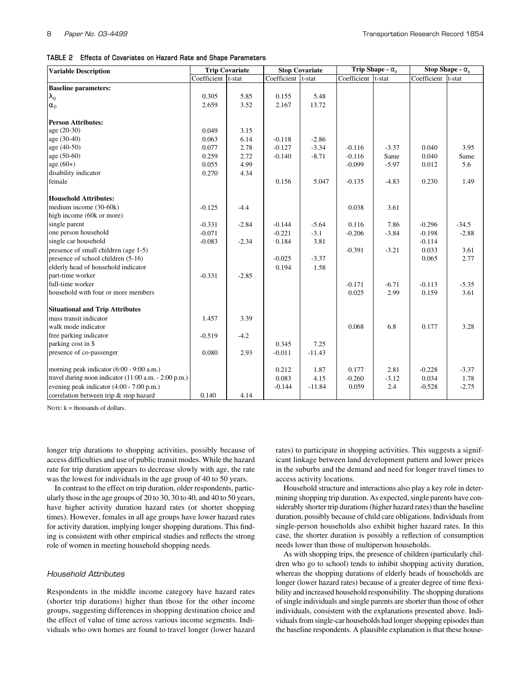**TABLE 2 Effects of Covariates on Hazard Rate and Shape Parameters**

| <b>Variable Description</b>                           |                     | <b>Trip Covariate</b> | <b>Stop Covariate</b> |          | Trip Shape - $\alpha_t$ |         | Stop Shape - $\alpha_s$ |         |
|-------------------------------------------------------|---------------------|-----------------------|-----------------------|----------|-------------------------|---------|-------------------------|---------|
|                                                       | Coefficient  t-stat |                       | Coefficient  t-stat   |          | Coefficient t-stat      |         | Coefficient  t-stat     |         |
| <b>Baseline parameters:</b>                           |                     |                       |                       |          |                         |         |                         |         |
| $\lambda_0$                                           | 0.305               | 5.85                  | 0.155                 | 5.48     |                         |         |                         |         |
| $\alpha_0$                                            | 2.659               | 3.52                  | 2.167                 | 13.72    |                         |         |                         |         |
|                                                       |                     |                       |                       |          |                         |         |                         |         |
| <b>Person Attributes:</b>                             |                     |                       |                       |          |                         |         |                         |         |
| $age (20-30)$                                         | 0.049               | 3.15                  |                       |          |                         |         |                         |         |
| age (30-40)                                           | 0.063               | 6.14                  | $-0.118$              | $-2.86$  |                         |         |                         |         |
| age (40-50)                                           | 0.077               | 2.78                  | $-0.127$              | $-3.34$  | $-0.116$                | $-3.37$ | 0.040                   | 3.95    |
| age (50-60)                                           | 0.259               | 2.72                  | $-0.140$              | $-8.71$  | $-0.116$                | Same    | 0.040                   | Same    |
| $age (60+)$                                           | 0.055               | 4.99                  |                       |          | $-0.099$                | $-5.97$ | 0.012                   | 5.6     |
| disability indicator                                  | 0.270               | 4.34                  |                       |          |                         |         |                         |         |
| female                                                |                     |                       | 0.156                 | 5.047    | $-0.135$                | $-4.83$ | 0.230                   | 1.49    |
|                                                       |                     |                       |                       |          |                         |         |                         |         |
| <b>Household Attributes:</b>                          |                     |                       |                       |          |                         |         |                         |         |
| medium income (30-60k)                                | $-0.125$            | $-4.4$                |                       |          | 0.038                   | 3.61    |                         |         |
| high income (60k or more)                             |                     |                       |                       |          |                         |         |                         |         |
| single parent                                         | $-0.331$            | $-2.84$               | $-0.144$              | $-5.64$  | 0.116                   | 7.86    | $-0.296$                | $-34.5$ |
| one person household                                  | $-0.071$            |                       | $-0.221$              | $-3.1$   | $-0.206$                | $-3.84$ | $-0.198$                | $-2.88$ |
| single car household                                  | $-0.083$            | $-2.34$               | 0.184                 | 3.81     |                         |         | $-0.114$                |         |
| presence of small children (age 1-5)                  |                     |                       |                       |          | $-0.391$                | $-3.21$ | 0.033                   | 3.61    |
| presence of school children (5-16)                    |                     |                       | $-0.025$              | $-3.37$  |                         |         | 0.065                   | 2.77    |
| elderly head of household indicator                   |                     |                       | 0.194                 | 1.58     |                         |         |                         |         |
| part-time worker                                      | $-0.331$            | $-2.85$               |                       |          |                         |         |                         |         |
| full-time worker                                      |                     |                       |                       |          | $-0.171$                | $-6.71$ | $-0.113$                | $-5.35$ |
| household with four or more members                   |                     |                       |                       |          | 0.025                   | 2.99    | 0.159                   | 3.61    |
| <b>Situational and Trip Attributes</b>                |                     |                       |                       |          |                         |         |                         |         |
| mass transit indicator                                | 1.457               | 3.39                  |                       |          |                         |         |                         |         |
| walk mode indicator                                   |                     |                       |                       |          | 0.068                   | 6.8     | 0.177                   | 3.28    |
| free parking indicator                                | $-0.519$            | $-4.2$                |                       |          |                         |         |                         |         |
| parking cost in \$                                    |                     |                       | 0.345                 | 7.25     |                         |         |                         |         |
| presence of co-passenger                              | 0.080               | 2.93                  | $-0.011$              | $-11.43$ |                         |         |                         |         |
|                                                       |                     |                       |                       |          |                         |         |                         |         |
| morning peak indicator (6:00 - 9:00 a.m.)             |                     |                       | 0.212                 | 1.87     | 0.177                   | 2.81    | $-0.228$                | $-3.37$ |
| travel during noon indicator (11:00 a.m. - 2:00 p.m.) |                     |                       | 0.083                 | 4.15     | $-0.260$                | $-3.12$ | 0.034                   | 1.78    |
| evening peak indicator (4:00 - 7:00 p.m.)             |                     |                       | $-0.144$              | $-11.84$ | 0.059                   | 2.4     | $-0.528$                | $-2.75$ |
| correlation between trip & stop hazard                | 0.140               | 4.14                  |                       |          |                         |         |                         |         |

NOTE:  $k =$  thousands of dollars.

longer trip durations to shopping activities, possibly because of access difficulties and use of public transit modes. While the hazard rate for trip duration appears to decrease slowly with age, the rate was the lowest for individuals in the age group of 40 to 50 years.

In contrast to the effect on trip duration, older respondents, particularly those in the age groups of 20 to 30, 30 to 40, and 40 to 50 years, have higher activity duration hazard rates (or shorter shopping times). However, females in all age groups have lower hazard rates for activity duration, implying longer shopping durations. This finding is consistent with other empirical studies and reflects the strong role of women in meeting household shopping needs.

#### *Household Attributes*

Respondents in the middle income category have hazard rates (shorter trip durations) higher than those for the other income groups, suggesting differences in shopping destination choice and the effect of value of time across various income segments. Individuals who own homes are found to travel longer (lower hazard rates) to participate in shopping activities. This suggests a significant linkage between land development pattern and lower prices in the suburbs and the demand and need for longer travel times to access activity locations.

Household structure and interactions also play a key role in determining shopping trip duration. As expected, single parents have considerably shorter trip durations (higher hazard rates) than the baseline duration, possibly because of child care obligations. Individuals from single-person households also exhibit higher hazard rates. In this case, the shorter duration is possibly a reflection of consumption needs lower than those of multiperson households.

As with shopping trips, the presence of children (particularly children who go to school) tends to inhibit shopping activity duration, whereas the shopping durations of elderly heads of households are longer (lower hazard rates) because of a greater degree of time flexibility and increased household responsibility. The shopping durations of single individuals and single parents are shorter than those of other individuals, consistent with the explanations presented above. Individuals from single-car households had longer shopping episodes than the baseline respondents. A plausible explanation is that these house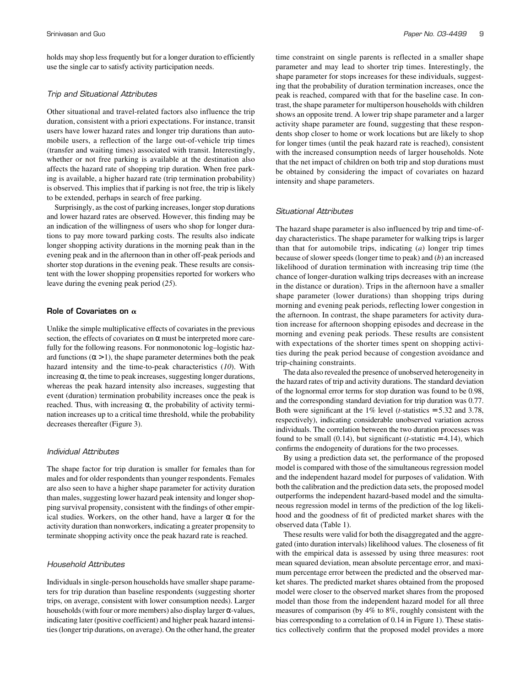holds may shop less frequently but for a longer duration to efficiently use the single car to satisfy activity participation needs.

#### *Trip and Situational Attributes*

Other situational and travel-related factors also influence the trip duration, consistent with a priori expectations. For instance, transit users have lower hazard rates and longer trip durations than automobile users, a reflection of the large out-of-vehicle trip times (transfer and waiting times) associated with transit. Interestingly, whether or not free parking is available at the destination also affects the hazard rate of shopping trip duration. When free parking is available, a higher hazard rate (trip termination probability) is observed. This implies that if parking is not free, the trip is likely to be extended, perhaps in search of free parking.

Surprisingly, as the cost of parking increases, longer stop durations and lower hazard rates are observed. However, this finding may be an indication of the willingness of users who shop for longer durations to pay more toward parking costs. The results also indicate longer shopping activity durations in the morning peak than in the evening peak and in the afternoon than in other off-peak periods and shorter stop durations in the evening peak. These results are consistent with the lower shopping propensities reported for workers who leave during the evening peak period (*25*).

## Role of Covariates on  $\alpha$

Unlike the simple multiplicative effects of covariates in the previous section, the effects of covariates on  $\alpha$  must be interpreted more carefully for the following reasons. For nonmonotonic log–logistic hazard functions ( $\alpha$  > 1), the shape parameter determines both the peak hazard intensity and the time-to-peak characteristics (*10*). With increasing  $\alpha$ , the time to peak increases, suggesting longer durations, whereas the peak hazard intensity also increases, suggesting that event (duration) termination probability increases once the peak is reached. Thus, with increasing  $\alpha$ , the probability of activity termination increases up to a critical time threshold, while the probability decreases thereafter (Figure 3).

#### *Individual Attributes*

The shape factor for trip duration is smaller for females than for males and for older respondents than younger respondents. Females are also seen to have a higher shape parameter for activity duration than males, suggesting lower hazard peak intensity and longer shopping survival propensity, consistent with the findings of other empirical studies. Workers, on the other hand, have a larger  $\alpha$  for the activity duration than nonworkers, indicating a greater propensity to terminate shopping activity once the peak hazard rate is reached.

### *Household Attributes*

Individuals in single-person households have smaller shape parameters for trip duration than baseline respondents (suggesting shorter trips, on average, consistent with lower consumption needs). Larger households (with four or more members) also display larger  $\alpha$ -values, indicating later (positive coefficient) and higher peak hazard intensities (longer trip durations, on average). On the other hand, the greater

time constraint on single parents is reflected in a smaller shape parameter and may lead to shorter trip times. Interestingly, the shape parameter for stops increases for these individuals, suggesting that the probability of duration termination increases, once the peak is reached, compared with that for the baseline case. In contrast, the shape parameter for multiperson households with children shows an opposite trend. A lower trip shape parameter and a larger activity shape parameter are found, suggesting that these respondents shop closer to home or work locations but are likely to shop for longer times (until the peak hazard rate is reached), consistent with the increased consumption needs of larger households. Note that the net impact of children on both trip and stop durations must be obtained by considering the impact of covariates on hazard intensity and shape parameters.

#### *Situational Attributes*

The hazard shape parameter is also influenced by trip and time-ofday characteristics. The shape parameter for walking trips is larger than that for automobile trips, indicating (*a*) longer trip times because of slower speeds (longer time to peak) and (*b*) an increased likelihood of duration termination with increasing trip time (the chance of longer-duration walking trips decreases with an increase in the distance or duration). Trips in the afternoon have a smaller shape parameter (lower durations) than shopping trips during morning and evening peak periods, reflecting lower congestion in the afternoon. In contrast, the shape parameters for activity duration increase for afternoon shopping episodes and decrease in the morning and evening peak periods. These results are consistent with expectations of the shorter times spent on shopping activities during the peak period because of congestion avoidance and trip-chaining constraints.

The data also revealed the presence of unobserved heterogeneity in the hazard rates of trip and activity durations. The standard deviation of the lognormal error terms for stop duration was found to be 0.98, and the corresponding standard deviation for trip duration was 0.77. Both were significant at the 1% level (*t*-statistics = 5.32 and 3.78, respectively), indicating considerable unobserved variation across individuals. The correlation between the two duration processes was found to be small  $(0.14)$ , but significant  $(t\text{-statistic} = 4.14)$ , which confirms the endogeneity of durations for the two processes.

By using a prediction data set, the performance of the proposed model is compared with those of the simultaneous regression model and the independent hazard model for purposes of validation. With both the calibration and the prediction data sets, the proposed model outperforms the independent hazard-based model and the simultaneous regression model in terms of the prediction of the log likelihood and the goodness of fit of predicted market shares with the observed data (Table 1).

These results were valid for both the disaggregated and the aggregated (into duration intervals) likelihood values. The closeness of fit with the empirical data is assessed by using three measures: root mean squared deviation, mean absolute percentage error, and maximum percentage error between the predicted and the observed market shares. The predicted market shares obtained from the proposed model were closer to the observed market shares from the proposed model than those from the independent hazard model for all three measures of comparison (by 4% to 8%, roughly consistent with the bias corresponding to a correlation of 0.14 in Figure 1). These statistics collectively confirm that the proposed model provides a more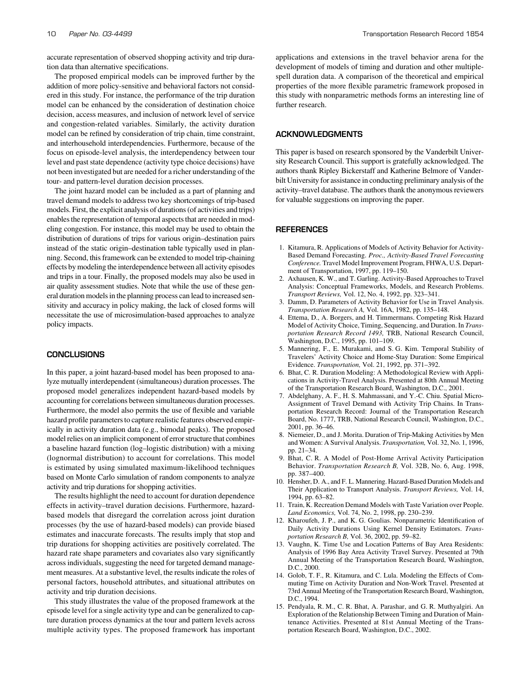accurate representation of observed shopping activity and trip duration data than alternative specifications.

The proposed empirical models can be improved further by the addition of more policy-sensitive and behavioral factors not considered in this study. For instance, the performance of the trip duration model can be enhanced by the consideration of destination choice decision, access measures, and inclusion of network level of service and congestion-related variables. Similarly, the activity duration model can be refined by consideration of trip chain, time constraint, and interhousehold interdependencies. Furthermore, because of the focus on episode-level analysis, the interdependency between tour level and past state dependence (activity type choice decisions) have not been investigated but are needed for a richer understanding of the tour- and pattern-level duration decision processes.

The joint hazard model can be included as a part of planning and travel demand models to address two key shortcomings of trip-based models. First, the explicit analysis of durations (of activities and trips) enables the representation of temporal aspects that are needed in modeling congestion. For instance, this model may be used to obtain the distribution of durations of trips for various origin–destination pairs instead of the static origin–destination table typically used in planning. Second, this framework can be extended to model trip-chaining effects by modeling the interdependence between all activity episodes and trips in a tour. Finally, the proposed models may also be used in air quality assessment studies. Note that while the use of these general duration models in the planning process can lead to increased sensitivity and accuracy in policy making, the lack of closed forms will necessitate the use of microsimulation-based approaches to analyze policy impacts.

#### **CONCLUSIONS**

In this paper, a joint hazard-based model has been proposed to analyze mutually interdependent (simultaneous) duration processes. The proposed model generalizes independent hazard-based models by accounting for correlations between simultaneous duration processes. Furthermore, the model also permits the use of flexible and variable hazard profile parameters to capture realistic features observed empirically in activity duration data (e.g., bimodal peaks). The proposed model relies on an implicit component of error structure that combines a baseline hazard function (log–logistic distribution) with a mixing (lognormal distribution) to account for correlations. This model is estimated by using simulated maximum-likelihood techniques based on Monte Carlo simulation of random components to analyze activity and trip durations for shopping activities.

The results highlight the need to account for duration dependence effects in activity–travel duration decisions. Furthermore, hazardbased models that disregard the correlation across joint duration processes (by the use of hazard-based models) can provide biased estimates and inaccurate forecasts. The results imply that stop and trip durations for shopping activities are positively correlated. The hazard rate shape parameters and covariates also vary significantly across individuals, suggesting the need for targeted demand management measures. At a substantive level, the results indicate the roles of personal factors, household attributes, and situational attributes on activity and trip duration decisions.

This study illustrates the value of the proposed framework at the episode level for a single activity type and can be generalized to capture duration process dynamics at the tour and pattern levels across multiple activity types. The proposed framework has important

applications and extensions in the travel behavior arena for the development of models of timing and duration and other multiplespell duration data. A comparison of the theoretical and empirical properties of the more flexible parametric framework proposed in this study with nonparametric methods forms an interesting line of further research.

## ACKNOWLEDGMENTS

This paper is based on research sponsored by the Vanderbilt University Research Council. This support is gratefully acknowledged. The authors thank Ripley Bickerstaff and Katherine Belmore of Vanderbilt University for assistance in conducting preliminary analysis of the activity–travel database. The authors thank the anonymous reviewers for valuable suggestions on improving the paper.

#### **REFERENCES**

- 1. Kitamura, R. Applications of Models of Activity Behavior for Activity-Based Demand Forecasting. *Proc., Activity-Based Travel Forecasting Conference.* Travel Model Improvement Program, FHWA, U.S. Department of Transportation, 1997, pp. 119–150.
- 2. Axhausen, K. W., and T. Garling. Activity-Based Approaches to Travel Analysis: Conceptual Frameworks, Models, and Research Problems. *Transport Reviews,* Vol. 12, No. 4, 1992, pp. 323–341.
- 3. Damm, D. Parameters of Activity Behavior for Use in Travel Analysis. *Transportation Research A,* Vol. 16A, 1982, pp. 135–148.
- 4. Ettema, D., A. Borgers, and H. Timmermans. Competing Risk Hazard Model of Activity Choice, Timing, Sequencing, and Duration. In *Transportation Research Record 1493,* TRB, National Research Council, Washington, D.C., 1995, pp. 101–109.
- 5. Mannering, F., E. Murakami, and S. G. Kim. Temporal Stability of Travelers' Activity Choice and Home-Stay Duration: Some Empirical Evidence. *Transportation,* Vol. 21, 1992, pp. 371–392.
- 6. Bhat, C. R. Duration Modeling: A Methodological Review with Applications in Activity-Travel Analysis. Presented at 80th Annual Meeting of the Transportation Research Board, Washington, D.C., 2001.
- 7. Abdelghany, A. F., H. S. Mahmassani, and Y.-C. Chiu. Spatial Micro-Assignment of Travel Demand with Activity Trip Chains. In Transportation Research Record: Journal of the Transportation Research Board, No. 1777, TRB, National Research Council, Washington, D.C., 2001, pp. 36–46.
- 8. Niemeier, D., and J. Morita. Duration of Trip-Making Activities by Men and Women: A Survival Analysis. *Transportation,* Vol. 32, No. 1, 1996, pp. 21–34.
- 9. Bhat, C. R. A Model of Post-Home Arrival Activity Participation Behavior. *Transportation Research B,* Vol. 32B, No. 6, Aug. 1998, pp. 387–400.
- 10. Hensher, D. A., and F. L. Mannering. Hazard-Based Duration Models and Their Application to Transport Analysis. *Transport Reviews,* Vol. 14, 1994, pp. 63–82.
- 11. Train, K. Recreation Demand Models with Taste Variation over People. *Land Economics,* Vol. 74, No. 2, 1998, pp. 230–239.
- 12. Kharoufeh, J. P., and K. G. Goulias. Nonparametric Identification of Daily Activity Durations Using Kernel Density Estimators. *Transportation Research B,* Vol. 36, 2002, pp. 59–82.
- 13. Vaughn, K. Time Use and Location Patterns of Bay Area Residents: Analysis of 1996 Bay Area Activity Travel Survey. Presented at 79th Annual Meeting of the Transportation Research Board, Washington, D.C., 2000.
- 14. Golob, T. F., R. Kitamura, and C. Lula. Modeling the Effects of Commuting Time on Activity Duration and Non-Work Travel. Presented at 73rd Annual Meeting of the Transportation Research Board, Washington, D.C., 1994.
- 15. Pendyala, R. M., C. R. Bhat, A. Parashar, and G. R. Muthyalgiri. An Exploration of the Relationship Between Timing and Duration of Maintenance Activities. Presented at 81st Annual Meeting of the Transportation Research Board, Washington, D.C., 2002.